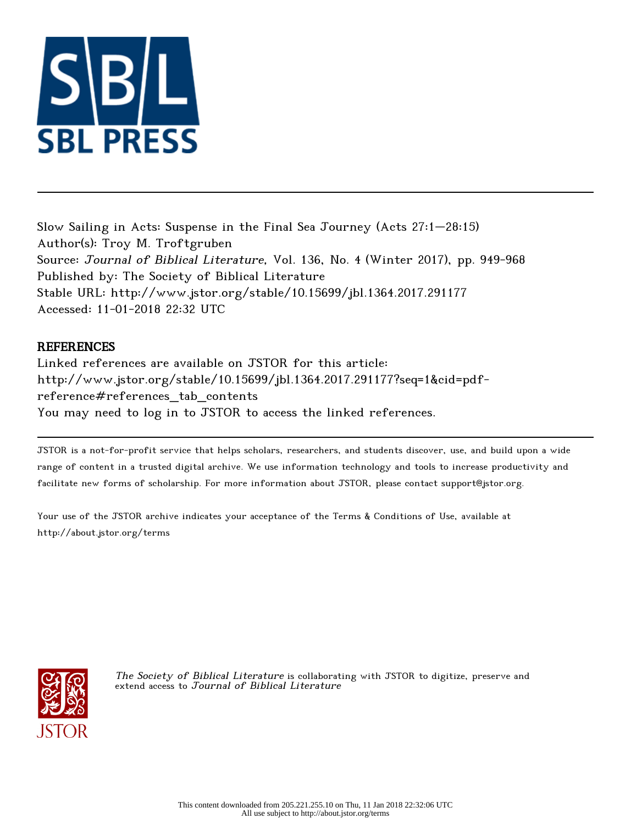

Slow Sailing in Acts: Suspense in the Final Sea Journey (Acts 27:1–28:15) Author(s): Troy M. Troftgruben Source: Journal of Biblical Literature, Vol. 136, No. 4 (Winter 2017), pp. 949-968 Published by: The Society of Biblical Literature Stable URL: http://www.jstor.org/stable/10.15699/jbl.1364.2017.291177 Accessed: 11-01-2018 22:32 UTC

## **REFERENCES**

Linked references are available on JSTOR for this article: http://www.jstor.org/stable/10.15699/jbl.1364.2017.291177?seq=1&cid=pdfreference#references\_tab\_contents You may need to log in to JSTOR to access the linked references.

JSTOR is a not-for-profit service that helps scholars, researchers, and students discover, use, and build upon a wide range of content in a trusted digital archive. We use information technology and tools to increase productivity and facilitate new forms of scholarship. For more information about JSTOR, please contact support@jstor.org.

Your use of the JSTOR archive indicates your acceptance of the Terms & Conditions of Use, available at http://about.jstor.org/terms



The Society of Biblical Literature is collaborating with JSTOR to digitize, preserve and extend access to Journal of Biblical Literature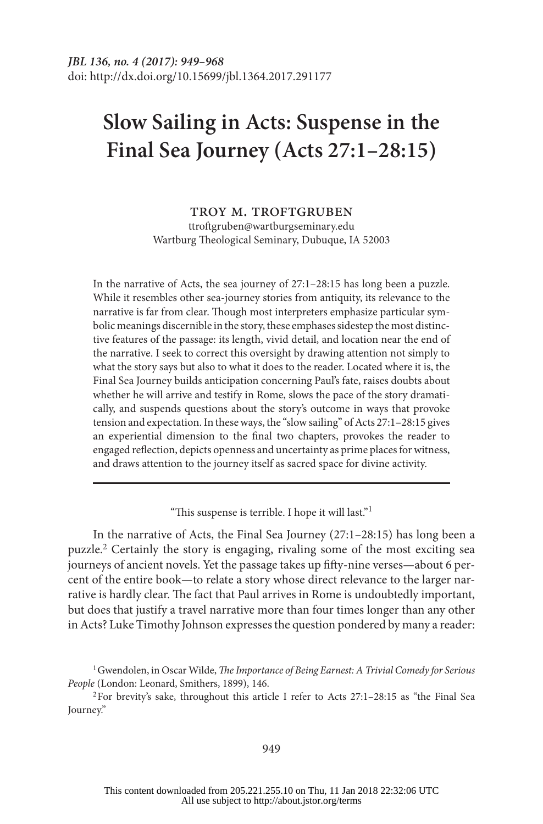# **Slow Sailing in Acts: Suspense in the Final Sea Journey (Acts 27:1–28:15)**

#### troy m. troftgruben

ttroftgruben@wartburgseminary.edu Wartburg Theological Seminary, Dubuque, IA 52003

In the narrative of Acts, the sea journey of 27:1–28:15 has long been a puzzle. While it resembles other sea-journey stories from antiquity, its relevance to the narrative is far from clear. Though most interpreters emphasize particular symbolic meanings discernible in the story, these emphases sidestep the most distinctive features of the passage: its length, vivid detail, and location near the end of the narrative. I seek to correct this oversight by drawing attention not simply to what the story says but also to what it does to the reader. Located where it is, the Final Sea Journey builds anticipation concerning Paul's fate, raises doubts about whether he will arrive and testify in Rome, slows the pace of the story dramatically, and suspends questions about the story's outcome in ways that provoke tension and expectation. In these ways, the "slow sailing" of Acts 27:1–28:15 gives an experiential dimension to the final two chapters, provokes the reader to engaged reflection, depicts openness and uncertainty as prime places for witness, and draws attention to the journey itself as sacred space for divine activity.

"This suspense is terrible. I hope it will last."<sup>1</sup>

In the narrative of Acts, the Final Sea Journey (27:1–28:15) has long been a puzzle.2 Certainly the story is engaging, rivaling some of the most exciting sea journeys of ancient novels. Yet the passage takes up fifty-nine verses—about 6 percent of the entire book—to relate a story whose direct relevance to the larger narrative is hardly clear. The fact that Paul arrives in Rome is undoubtedly important, but does that justify a travel narrative more than four times longer than any other in Acts? Luke Timothy Johnson expresses the question pondered by many a reader:

2For brevity's sake, throughout this article I refer to Acts 27:1–28:15 as "the Final Sea Journey."

<sup>1</sup>Gwendolen, in Oscar Wilde, *The Importance of Being Earnest: A Trivial Comedy for Serious People* (London: Leonard, Smithers, 1899), 146.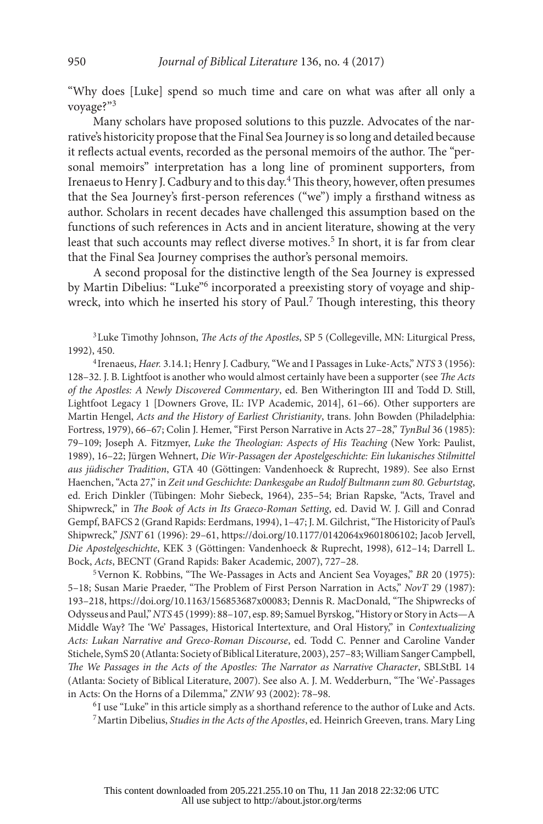"Why does [Luke] spend so much time and care on what was after all only a voyage?"<sup>3</sup>

Many scholars have proposed solutions to this puzzle. Advocates of the narrative's historicity propose that the Final Sea Journey is so long and detailed because it reflects actual events, recorded as the personal memoirs of the author. The "personal memoirs" interpretation has a long line of prominent supporters, from Irenaeus to Henry J. Cadbury and to this day.4 This theory, however, often presumes that the Sea Journey's first-person references ("we") imply a firsthand witness as author. Scholars in recent decades have challenged this assumption based on the functions of such references in Acts and in ancient literature, showing at the very least that such accounts may reflect diverse motives.<sup>5</sup> In short, it is far from clear that the Final Sea Journey comprises the author's personal memoirs.

A second proposal for the distinctive length of the Sea Journey is expressed by Martin Dibelius: "Luke"6 incorporated a preexisting story of voyage and shipwreck, into which he inserted his story of Paul.<sup>7</sup> Though interesting, this theory

3Luke Timothy Johnson, *The Acts of the Apostles*, SP 5 (Collegeville, MN: Liturgical Press, 1992), 450.

<sup>4</sup> Irenaeus, *Haer.* 3.14.1; Henry J. Cadbury, "We and I Passages in Luke-Acts," *NTS* 3 (1956): 128–32. J. B. Lightfoot is another who would almost certainly have been a supporter (see *The Acts of the Apostles: A Newly Discovered Commentary*, ed. Ben Witherington III and Todd D. Still, Lightfoot Legacy 1 [Downers Grove, IL: IVP Academic, 2014], 61–66). Other supporters are Martin Hengel, *Acts and the History of Earliest Christianity*, trans. John Bowden (Philadelphia: Fortress, 1979), 66–67; Colin J. Hemer, "First Person Narrative in Acts 27–28," *TynBul* 36 (1985): 79–109; Joseph A. Fitzmyer, *Luke the Theologian: Aspects of His Teaching* (New York: Paulist, 1989), 16–22; Jürgen Wehnert, *Die Wir-Passagen der Apostelgeschichte: Ein lukanisches Stilmittel aus jüdischer Tradition*, GTA 40 (Göttingen: Vandenhoeck & Ruprecht, 1989). See also Ernst Haenchen, "Acta 27," in *Zeit und Geschichte: Dankesgabe an Rudolf Bultmann zum 80. Geburtstag*, ed. Erich Dinkler (Tübingen: Mohr Siebeck, 1964), 235–54; Brian Rapske, "Acts, Travel and Shipwreck," in *The Book of Acts in Its Graeco-Roman Setting*, ed. David W. J. Gill and Conrad Gempf, BAFCS 2 (Grand Rapids: Eerdmans, 1994), 1–47; J. M. Gilchrist, "The Historicity of Paul's Shipwreck," *JSNT* 61 (1996): 29–61,<https://doi.org/10.1177/0142064x9601806102>; Jacob Jervell, *Die Apostelgeschichte*, KEK 3 (Göttingen: Vandenhoeck & Ruprecht, 1998), 612–14; Darrell L. Bock, *Acts*, BECNT (Grand Rapids: Baker Academic, 2007), 727–28.

5Vernon K. Robbins, "The We-Passages in Acts and Ancient Sea Voyages," *BR* 20 (1975): 5–18; Susan Marie Praeder, "The Problem of First Person Narration in Acts," *NovT* 29 (1987): 193–218, [https://doi.org/10.1163/156853687x00083;](https://doi.org/10.1163/156853687x00083) Dennis R. MacDonald, "The Shipwrecks of Odysseus and Paul," *NTS* 45 (1999): 88–107, esp. 89; Samuel Byrskog, "History or Story in Acts—A Middle Way? The 'We' Passages, Historical Intertexture, and Oral History," in *Contextualizing Acts: Lukan Narrative and Greco-Roman Discourse*, ed. Todd C. Penner and Caroline Vander Stichele, SymS 20 (Atlanta: Society of Biblical Literature, 2003), 257–83; William Sanger Campbell, *The We Passages in the Acts of the Apostles: The Narrator as Narrative Character*, SBLStBL 14 (Atlanta: Society of Biblical Literature, 2007). See also A. J. M. Wedderburn, "The 'We'-Passages in Acts: On the Horns of a Dilemma," *ZNW* 93 (2002): 78–98.

<sup>6</sup> I use "Luke" in this article simply as a shorthand reference to the author of Luke and Acts. 7Martin Dibelius, *Studies in the Acts of the Apostles*, ed. Heinrich Greeven, trans. Mary Ling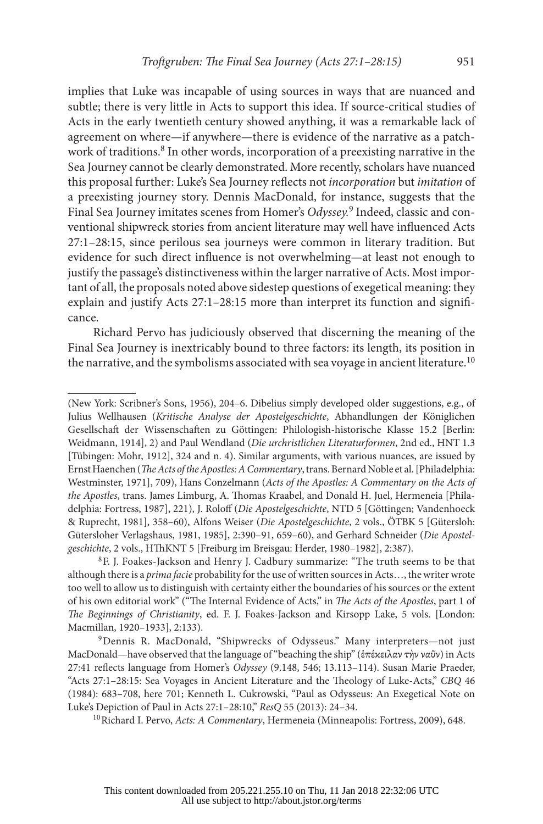implies that Luke was incapable of using sources in ways that are nuanced and subtle; there is very little in Acts to support this idea. If source-critical studies of Acts in the early twentieth century showed anything, it was a remarkable lack of agreement on where—if anywhere—there is evidence of the narrative as a patchwork of traditions.<sup>8</sup> In other words, incorporation of a preexisting narrative in the Sea Journey cannot be clearly demonstrated. More recently, scholars have nuanced this proposal further: Luke's Sea Journey reflects not *incorporation* but *imitation* of a preexisting journey story. Dennis MacDonald, for instance, suggests that the Final Sea Journey imitates scenes from Homer's *Odyssey.*<sup>9</sup> Indeed, classic and conventional shipwreck stories from ancient literature may well have influenced Acts 27:1–28:15, since perilous sea journeys were common in literary tradition. But evidence for such direct influence is not overwhelming—at least not enough to justify the passage's distinctiveness within the larger narrative of Acts. Most important of all, the proposals noted above sidestep questions of exegetical meaning: they explain and justify Acts 27:1–28:15 more than interpret its function and significance.

Richard Pervo has judiciously observed that discerning the meaning of the Final Sea Journey is inextricably bound to three factors: its length, its position in the narrative, and the symbolisms associated with sea voyage in ancient literature.<sup>10</sup>

<sup>(</sup>New York: Scribner's Sons, 1956), 204–6. Dibelius simply developed older suggestions, e.g., of Julius Wellhausen (*Kritische Analyse der Apostelgeschichte*, Abhandlungen der Königlichen Gesellschaft der Wissenschaften zu Göttingen: Philologish-historische Klasse 15.2 [Berlin: Weidmann, 1914], 2) and Paul Wendland (*Die urchristlichen Literaturformen*, 2nd ed., HNT 1.3 [Tübingen: Mohr, 1912], 324 and n. 4). Similar arguments, with various nuances, are issued by Ernst Haenchen (*The Acts of the Apostles: A Commentary*,trans. Bernard Noble et al. [Philadelphia: Westminster, 1971], 709), Hans Conzelmann (*Acts of the Apostles: A Commentary on the Acts of the Apostles*, trans. James Limburg, A. Thomas Kraabel, and Donald H. Juel, Hermeneia [Philadelphia: Fortress, 1987], 221), J. Roloff (*Die Apostelgeschichte*, NTD 5 [Göttingen; Vandenhoeck & Ruprecht, 1981], 358–60), Alfons Weiser (*Die Apostelgeschichte*, 2 vols., ÖTBK 5 [Gütersloh: Gütersloher Verlagshaus, 1981, 1985], 2:390–91, 659–60), and Gerhard Schneider (*Die Apostelgeschichte*, 2 vols., HThKNT 5 [Freiburg im Breisgau: Herder, 1980–1982], 2:387). 8F. J. Foakes-Jackson and Henry J. Cadbury summarize: "The truth seems to be that

although there is a *prima facie* probability for the use of written sources in Acts…, the writer wrote too well to allow us to distinguish with certainty either the boundaries of his sources or the extent of his own editorial work" ("The Internal Evidence of Acts," in *The Acts of the Apostles*, part 1 of *The Beginnings of Christianity*, ed. F. J. Foakes-Jackson and Kirsopp Lake, 5 vols. [London: Macmillan, 1920–1933], 2:133).

<sup>9</sup>Dennis R. MacDonald, "Shipwrecks of Odysseus." Many interpreters—not just MacDonald—have observed that the language of "beaching the ship" (ἐπέκειλαν τὴν ναῦν) in Acts 27:41 reflects language from Homer's *Odyssey* (9.148, 546; 13.113–114). Susan Marie Praeder, "Acts 27:1–28:15: Sea Voyages in Ancient Literature and the Theology of Luke-Acts," *CBQ* 46 (1984): 683–708, here 701; Kenneth L. Cukrowski, "Paul as Odysseus: An Exegetical Note on Luke's Depiction of Paul in Acts 27:1–28:10," *ResQ* 55 (2013): 24–34.<br><sup>10</sup>Richard I. Pervo, *Acts: A Commentary*, Hermeneia (Minneapolis: Fortress, 2009), 648.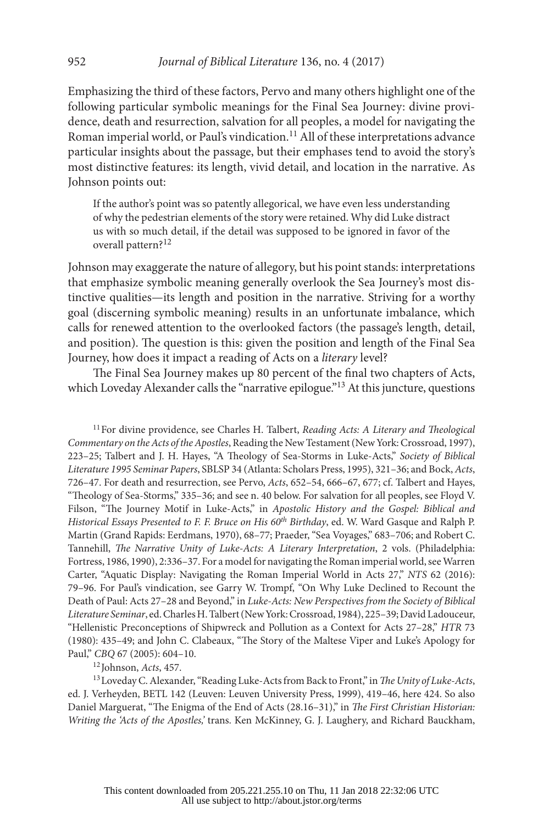Emphasizing the third of these factors, Pervo and many others highlight one of the following particular symbolic meanings for the Final Sea Journey: divine providence, death and resurrection, salvation for all peoples, a model for navigating the Roman imperial world, or Paul's vindication.<sup>11</sup> All of these interpretations advance particular insights about the passage, but their emphases tend to avoid the story's most distinctive features: its length, vivid detail, and location in the narrative. As Johnson points out:

If the author's point was so patently allegorical, we have even less understanding of why the pedestrian elements of the story were retained. Why did Luke distract us with so much detail, if the detail was supposed to be ignored in favor of the overall pattern?12

Johnson may exaggerate the nature of allegory, but his point stands: interpretations that emphasize symbolic meaning generally overlook the Sea Journey's most distinctive qualities—its length and position in the narrative. Striving for a worthy goal (discerning symbolic meaning) results in an unfortunate imbalance, which calls for renewed attention to the overlooked factors (the passage's length, detail, and position). The question is this: given the position and length of the Final Sea Journey, how does it impact a reading of Acts on a *literary* level?

The Final Sea Journey makes up 80 percent of the final two chapters of Acts, which Loveday Alexander calls the "narrative epilogue."<sup>13</sup> At this juncture, questions

11For divine providence, see Charles H. Talbert, *Reading Acts: A Literary and Theological Commentary on the Acts of the Apostles*, Reading the New Testament (New York: Crossroad, 1997), 223–25; Talbert and J. H. Hayes, "A Theology of Sea-Storms in Luke-Acts," *Society of Biblical Literature 1995 Seminar Papers*, SBLSP 34 (Atlanta: Scholars Press, 1995), 321–36; and Bock, *Acts*, 726–47. For death and resurrection, see Pervo, *Acts*, 652–54, 666–67, 677; cf. Talbert and Hayes, "Theology of Sea-Storms," 335–36; and see n. 40 below. For salvation for all peoples, see Floyd V. Filson, "The Journey Motif in Luke-Acts," in *Apostolic History and the Gospel: Biblical and Historical Essays Presented to F. F. Bruce on His 60th Birthday*, ed. W. Ward Gasque and Ralph P. Martin (Grand Rapids: Eerdmans, 1970), 68–77; Praeder, "Sea Voyages," 683–706; and Robert C. Tannehill, *The Narrative Unity of Luke-Acts: A Literary Interpretation*, 2 vols. (Philadelphia: Fortress, 1986, 1990), 2:336–37. For a model for navigating the Roman imperial world, see Warren Carter, "Aquatic Display: Navigating the Roman Imperial World in Acts 27," *NTS* 62 (2016): 79–96. For Paul's vindication, see Garry W. Trompf, "On Why Luke Declined to Recount the Death of Paul: Acts 27–28 and Beyond," in *Luke-Acts: New Perspectives from the Society of Biblical Literature Seminar*, ed. Charles H. Talbert (New York: Crossroad, 1984), 225–39; David Ladouceur, "Hellenistic Preconceptions of Shipwreck and Pollution as a Context for Acts 27–28," *HTR* 73 (1980): 435–49; and John C. Clabeaux, "The Story of the Maltese Viper and Luke's Apology for Paul," *CBQ* 67 (2005): 604–10.

<sup>12</sup> Johnson, *Acts*, 457.

13Loveday C. Alexander, "Reading Luke-Acts from Back to Front," in *The Unity of Luke-Acts*, ed. J. Verheyden, BETL 142 (Leuven: Leuven University Press, 1999), 419–46, here 424. So also Daniel Marguerat, "The Enigma of the End of Acts (28.16–31)," in *The First Christian Historian: Writing the 'Acts of the Apostles,'* trans. Ken McKinney, G. J. Laughery, and Richard Bauckham,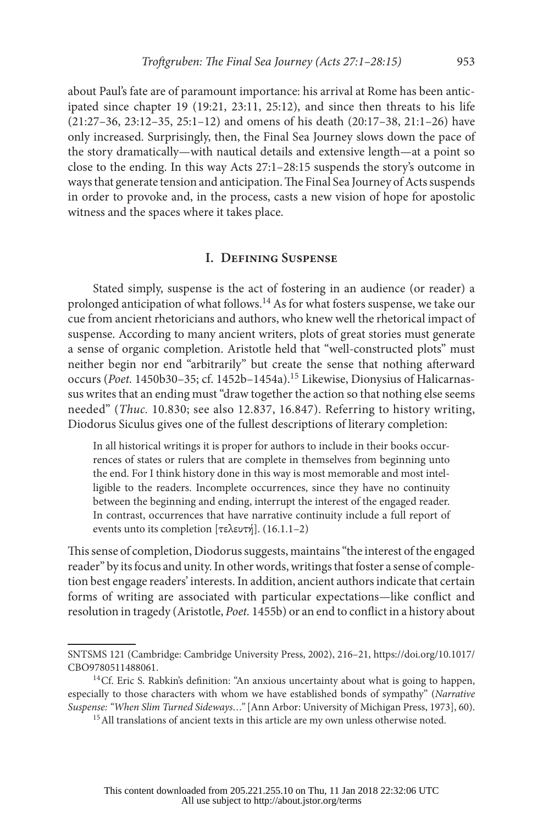about Paul's fate are of paramount importance: his arrival at Rome has been anticipated since chapter 19 (19:21, 23:11, 25:12), and since then threats to his life  $(21:27-36, 23:12-35, 25:1-12)$  and omens of his death  $(20:17-38, 21:1-26)$  have only increased. Surprisingly, then, the Final Sea Journey slows down the pace of the story dramatically—with nautical details and extensive length—at a point so close to the ending. In this way Acts 27:1–28:15 suspends the story's outcome in ways that generate tension and anticipation. The Final Sea Journey of Acts suspends in order to provoke and, in the process, casts a new vision of hope for apostolic witness and the spaces where it takes place.

#### **I. Defining Suspense**

Stated simply, suspense is the act of fostering in an audience (or reader) a prolonged anticipation of what follows.14 As for what fosters suspense, we take our cue from ancient rhetoricians and authors, who knew well the rhetorical impact of suspense. According to many ancient writers, plots of great stories must generate a sense of organic completion. Aristotle held that "well-constructed plots" must neither begin nor end "arbitrarily" but create the sense that nothing afterward occurs (*Poet.* 1450b30–35; cf. 1452b–1454a).15 Likewise, Dionysius of Halicarnassus writes that an ending must "draw together the action so that nothing else seems needed" (*Thuc.* 10.830; see also 12.837, 16.847). Referring to history writing, Diodorus Siculus gives one of the fullest descriptions of literary completion:

In all historical writings it is proper for authors to include in their books occurrences of states or rulers that are complete in themselves from beginning unto the end. For I think history done in this way is most memorable and most intelligible to the readers. Incomplete occurrences, since they have no continuity between the beginning and ending, interrupt the interest of the engaged reader. In contrast, occurrences that have narrative continuity include a full report of events unto its completion [τελευτή]. (16.1.1–2)

This sense of completion, Diodorus suggests, maintains "the interest of the engaged reader" by its focus and unity. In other words, writings that foster a sense of completion best engage readers' interests. In addition, ancient authors indicate that certain forms of writing are associated with particular expectations—like conflict and resolution in tragedy (Aristotle, *Poet.* 1455b) or an end to conflict in a history about

SNTSMS 121 (Cambridge: Cambridge University Press, 2002), 216–21, [https://doi.org/10.1017/](https://doi.org/10.1017/CBO9780511488061) [CBO9780511488061](https://doi.org/10.1017/CBO9780511488061).<br><sup>14</sup>Cf. Eric S. Rabkin's definition: "An anxious uncertainty about what is going to happen,

especially to those characters with whom we have established bonds of sympathy" (*Narrative Suspense: "When Slim Turned Sideways…"* [Ann Arbor: University of Michigan Press, 1973], 60).

<sup>&</sup>lt;sup>15</sup> All translations of ancient texts in this article are my own unless otherwise noted.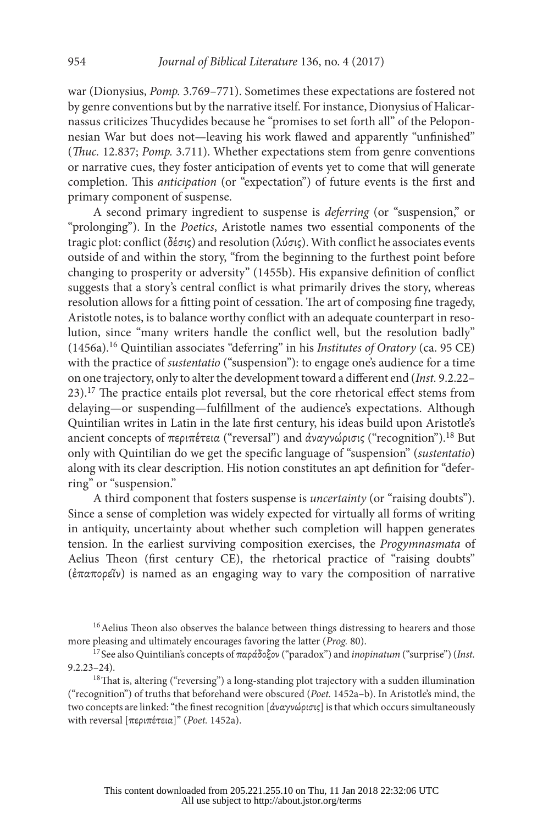war (Dionysius, *Pomp.* 3.769–771). Sometimes these expectations are fostered not by genre conventions but by the narrative itself. For instance, Dionysius of Halicarnassus criticizes Thucydides because he "promises to set forth all" of the Peloponnesian War but does not—leaving his work flawed and apparently "unfinished" (*Thuc.* 12.837; *Pomp.* 3.711). Whether expectations stem from genre conventions or narrative cues, they foster anticipation of events yet to come that will generate completion. This *anticipation* (or "expectation") of future events is the first and primary component of suspense.

A second primary ingredient to suspense is *deferring* (or "suspension," or "prolonging"). In the *Poetics*, Aristotle names two essential components of the tragic plot: conflict (δέσις) and resolution (λύσις). With conflict he associates events outside of and within the story, "from the beginning to the furthest point before changing to prosperity or adversity" (1455b). His expansive definition of conflict suggests that a story's central conflict is what primarily drives the story, whereas resolution allows for a fitting point of cessation. The art of composing fine tragedy, Aristotle notes, is to balance worthy conflict with an adequate counterpart in resolution, since "many writers handle the conflict well, but the resolution badly" (1456a).16 Quintilian associates "deferring" in his *Institutes of Oratory* (ca. 95 CE) with the practice of *sustentatio* ("suspension"): to engage one's audience for a time on one trajectory, only to alter the development toward a different end (*Inst.* 9.2.22– 23).17 The practice entails plot reversal, but the core rhetorical effect stems from delaying—or suspending—fulfillment of the audience's expectations. Although Quintilian writes in Latin in the late first century, his ideas build upon Aristotle's ancient concepts of περιπέτεια ("reversal") and άναγνώρισις ("recognition").<sup>18</sup> But only with Quintilian do we get the specific language of "suspension" (*sustentatio*) along with its clear description. His notion constitutes an apt definition for "deferring" or "suspension."

A third component that fosters suspense is *uncertainty* (or "raising doubts"). Since a sense of completion was widely expected for virtually all forms of writing in antiquity, uncertainty about whether such completion will happen generates tension. In the earliest surviving composition exercises, the *Progymnasmata* of Aelius Theon (first century CE), the rhetorical practice of "raising doubts" (ἐπαπορεῖν) is named as an engaging way to vary the composition of narrative

<sup>16</sup> Aelius Theon also observes the balance between things distressing to hearers and those more pleasing and ultimately encourages favoring the latter (*Prog.* 80). 17 See also Quintilian's concepts of παράδοξον ("paradox") and *inopinatum* ("surprise") (*Inst.* 

9.2.23–24).<br><sup>18</sup>That is, altering ("reversing") a long-standing plot trajectory with a sudden illumination ("recognition") of truths that beforehand were obscured (*Poet.* 1452a–b). In Aristotle's mind, the two concepts are linked: "the finest recognition [ἀναγνώρισις] is that which occurs simultaneously with reversal [περιπέτεια]" (*Poet.* 1452a).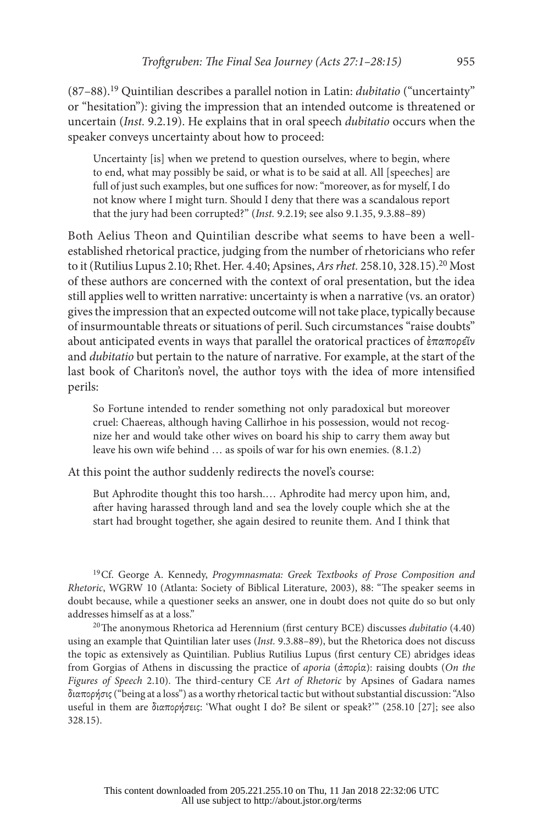(87–88).19 Quintilian describes a parallel notion in Latin: *dubitatio* ("uncertainty" or "hesitation"): giving the impression that an intended outcome is threatened or uncertain (*Inst.* 9.2.19). He explains that in oral speech *dubitatio* occurs when the speaker conveys uncertainty about how to proceed:

Uncertainty [is] when we pretend to question ourselves, where to begin, where to end, what may possibly be said, or what is to be said at all. All [speeches] are full of just such examples, but one suffices for now: "moreover, as for myself, I do not know where I might turn. Should I deny that there was a scandalous report that the jury had been corrupted?" (*Inst.* 9.2.19; see also 9.1.35, 9.3.88–89)

Both Aelius Theon and Quintilian describe what seems to have been a wellestablished rhetorical practice, judging from the number of rhetoricians who refer to it (Rutilius Lupus 2.10; Rhet. Her. 4.40; Apsines, *Ars rhet.* 258.10, 328.15).20 Most of these authors are concerned with the context of oral presentation, but the idea still applies well to written narrative: uncertainty is when a narrative (vs. an orator) gives the impression that an expected outcome will not take place, typically because of insurmountable threats or situations of peril. Such circumstances "raise doubts" about anticipated events in ways that parallel the oratorical practices of ἐπαπορεῖν and *dubitatio* but pertain to the nature of narrative. For example, at the start of the last book of Chariton's novel, the author toys with the idea of more intensified perils:

So Fortune intended to render something not only paradoxical but moreover cruel: Chaereas, although having Callirhoe in his possession, would not recognize her and would take other wives on board his ship to carry them away but leave his own wife behind … as spoils of war for his own enemies. (8.1.2)

At this point the author suddenly redirects the novel's course:

But Aphrodite thought this too harsh.… Aphrodite had mercy upon him, and, after having harassed through land and sea the lovely couple which she at the start had brought together, she again desired to reunite them. And I think that

19Cf. George A. Kennedy, *Progymnasmata: Greek Textbooks of Prose Composition and Rhetoric*, WGRW 10 (Atlanta: Society of Biblical Literature, 2003), 88: "The speaker seems in doubt because, while a questioner seeks an answer, one in doubt does not quite do so but only addresses himself as at a loss."

20The anonymous Rhetorica ad Herennium (first century BCE) discusses *dubitatio* (4.40) using an example that Quintilian later uses (*Inst.* 9.3.88–89), but the Rhetorica does not discuss the topic as extensively as Quintilian. Publius Rutilius Lupus (first century CE) abridges ideas from Gorgias of Athens in discussing the practice of *aporia* (ἀπορία): raising doubts (*On the Figures of Speech* 2.10). The third-century CE *Art of Rhetoric* by Apsines of Gadara names διαπορήσις ("being at a loss") as a worthy rhetorical tactic but without substantial discussion: "Also useful in them are διαπορήσεις: 'What ought I do? Be silent or speak?'" (258.10 [27]; see also 328.15).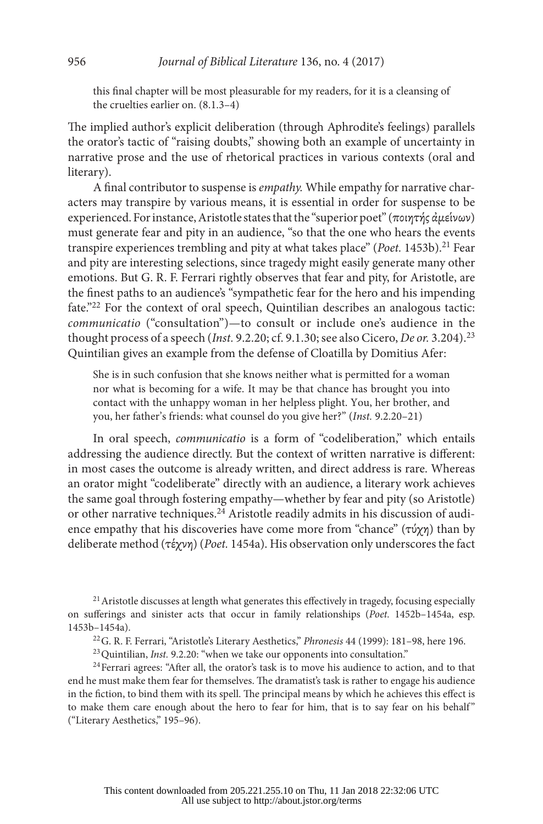this final chapter will be most pleasurable for my readers, for it is a cleansing of the cruelties earlier on. (8.1.3–4)

The implied author's explicit deliberation (through Aphrodite's feelings) parallels the orator's tactic of "raising doubts," showing both an example of uncertainty in narrative prose and the use of rhetorical practices in various contexts (oral and literary).

A final contributor to suspense is *empathy.* While empathy for narrative characters may transpire by various means, it is essential in order for suspense to be experienced. For instance, Aristotle states that the "superior poet" (ποιητής ἀμείνων) must generate fear and pity in an audience, "so that the one who hears the events transpire experiences trembling and pity at what takes place" (*Poet.* 1453b).21 Fear and pity are interesting selections, since tragedy might easily generate many other emotions. But G. R. F. Ferrari rightly observes that fear and pity, for Aristotle, are the finest paths to an audience's "sympathetic fear for the hero and his impending fate."22 For the context of oral speech, Quintilian describes an analogous tactic: *communicatio* ("consultation")—to consult or include one's audience in the thought process of a speech (*Inst.* 9.2.20; cf. 9.1.30; see also Cicero, *De or.* 3.204).<sup>23</sup> Quintilian gives an example from the defense of Cloatilla by Domitius Afer:

She is in such confusion that she knows neither what is permitted for a woman nor what is becoming for a wife. It may be that chance has brought you into contact with the unhappy woman in her helpless plight. You, her brother, and you, her father's friends: what counsel do you give her?" (*Inst.* 9.2.20–21)

In oral speech, *communicatio* is a form of "codeliberation," which entails addressing the audience directly. But the context of written narrative is different: in most cases the outcome is already written, and direct address is rare. Whereas an orator might "codeliberate" directly with an audience, a literary work achieves the same goal through fostering empathy—whether by fear and pity (so Aristotle) or other narrative techniques.24 Aristotle readily admits in his discussion of audience empathy that his discoveries have come more from "chance" (τύχη) than by deliberate method (τέχνη) (*Poet.* 1454a). His observation only underscores the fact

<sup>21</sup> Aristotle discusses at length what generates this effectively in tragedy, focusing especially on sufferings and sinister acts that occur in family relationships (*Poet.* 1452b–1454a, esp. 1453b–1454a). 22G. R. F. Ferrari, "Aristotle's Literary Aesthetics," *Phronesis* 44 (1999): 181–98, here 196.

<sup>23</sup> Quintilian, *Inst.* 9.2.20: "when we take our opponents into consultation."<br><sup>24</sup> Ferrari agrees: "After all, the orator's task is to move his audience to action, and to that end he must make them fear for themselves. The dramatist's task is rather to engage his audience in the fiction, to bind them with its spell. The principal means by which he achieves this effect is to make them care enough about the hero to fear for him, that is to say fear on his behalf" ("Literary Aesthetics," 195–96).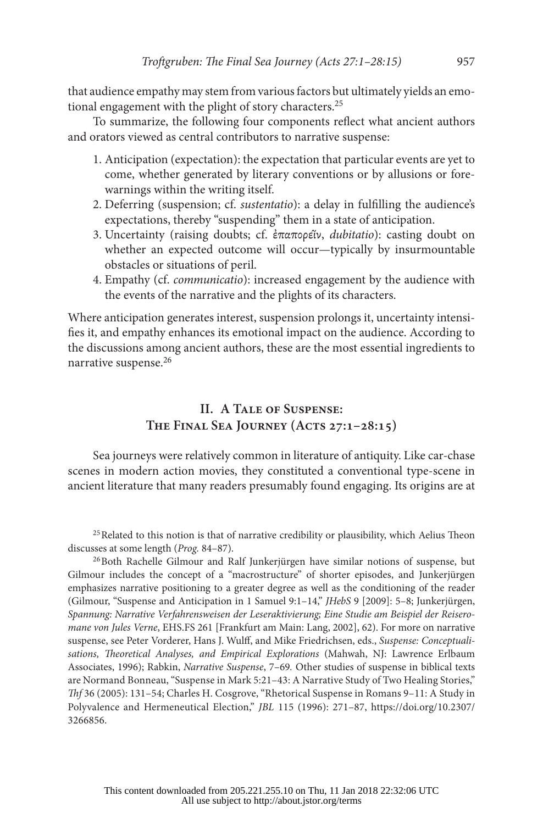that audience empathy may stem from various factors but ultimately yields an emotional engagement with the plight of story characters.<sup>25</sup>

To summarize, the following four components reflect what ancient authors and orators viewed as central contributors to narrative suspense:

- 1. Anticipation (expectation): the expectation that particular events are yet to come, whether generated by literary conventions or by allusions or forewarnings within the writing itself.
- 2. Deferring (suspension; cf. *sustentatio*): a delay in fulfilling the audience's expectations, thereby "suspending" them in a state of anticipation.
- 3. Uncertainty (raising doubts; cf. ἐπαπορεῖν, *dubitatio*): casting doubt on whether an expected outcome will occur—typically by insurmountable obstacles or situations of peril.
- 4. Empathy (cf. *communicatio*): increased engagement by the audience with the events of the narrative and the plights of its characters.

Where anticipation generates interest, suspension prolongs it, uncertainty intensifies it, and empathy enhances its emotional impact on the audience. According to the discussions among ancient authors, these are the most essential ingredients to narrative suspense.<sup>26</sup>

### **II. A Tale of Suspense: The Final Sea Journey (Acts 27:1–28:15)**

Sea journeys were relatively common in literature of antiquity. Like car-chase scenes in modern action movies, they constituted a conventional type-scene in ancient literature that many readers presumably found engaging. Its origins are at

<sup>25</sup> Related to this notion is that of narrative credibility or plausibility, which Aelius Theon discusses at some length (*Prog.* 84–87).<br><sup>26</sup>Both Rachelle Gilmour and Ralf Junkerjürgen have similar notions of suspense, but

Gilmour includes the concept of a "macrostructure" of shorter episodes, and Junkerjürgen emphasizes narrative positioning to a greater degree as well as the conditioning of the reader (Gilmour, "Suspense and Anticipation in 1 Samuel 9:1–14," *JHebS* 9 [2009]: 5–8; Junkerjürgen, *Spannung: Narrative Verfahrensweisen der Leseraktivierung; Eine Studie am Beispiel der Reiseromane von Jules Verne*, EHS.FS 261 [Frankfurt am Main: Lang, 2002], 62). For more on narrative suspense, see Peter Vorderer, Hans J. Wulff, and Mike Friedrichsen, eds., *Suspense: Conceptualisations, Theoretical Analyses, and Empirical Explorations* (Mahwah, NJ: Lawrence Erlbaum Associates, 1996); Rabkin, *Narrative Suspense*, 7–69*.* Other studies of suspense in biblical texts are Normand Bonneau, "Suspense in Mark 5:21–43: A Narrative Study of Two Healing Stories," *Thf* 36 (2005): 131–54; Charles H. Cosgrove, "Rhetorical Suspense in Romans 9–11: A Study in Polyvalence and Hermeneutical Election," *JBL* 115 (1996): 271–87, [https://doi.org/10.2307/](https://doi.org/10.2307/3266856)  [3266856](https://doi.org/10.2307/3266856).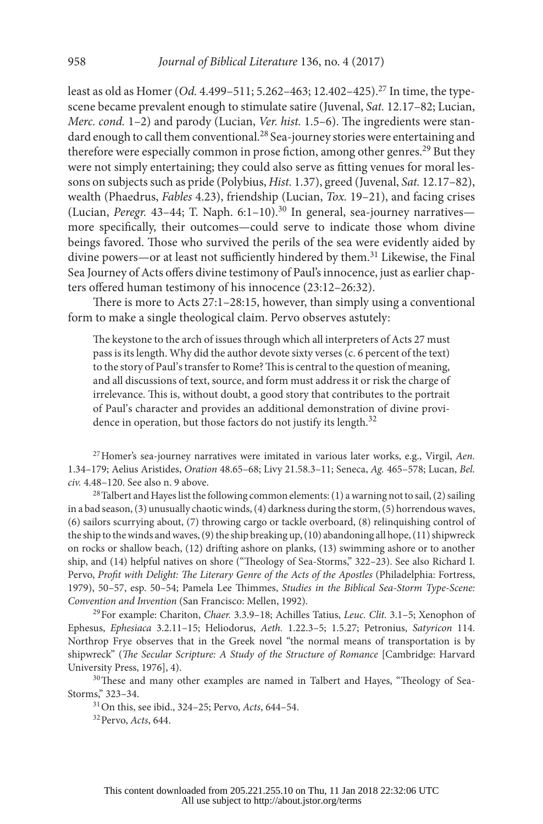least as old as Homer (*Od.* 4.499–511; 5.262–463; 12.402–425).27 In time, the typescene became prevalent enough to stimulate satire (Juvenal, *Sat.* 12.17–82; Lucian, *Merc. cond.* 1–2) and parody (Lucian, *Ver. hist.* 1.5–6). The ingredients were standard enough to call them conventional.<sup>28</sup> Sea-journey stories were entertaining and therefore were especially common in prose fiction, among other genres.<sup>29</sup> But they were not simply entertaining; they could also serve as fitting venues for moral lessons on subjects such as pride (Polybius, *Hist.* 1.37), greed (Juvenal, *Sat.* 12.17–82), wealth (Phaedrus, *Fables* 4.23), friendship (Lucian, *Tox.* 19–21), and facing crises (Lucian, *Peregr.* 43–44; T. Naph. 6:1–10).<sup>30</sup> In general, sea-journey narratives more specifically, their outcomes—could serve to indicate those whom divine beings favored. Those who survived the perils of the sea were evidently aided by divine powers—or at least not sufficiently hindered by them.<sup>31</sup> Likewise, the Final Sea Journey of Acts offers divine testimony of Paul's innocence, just as earlier chapters offered human testimony of his innocence (23:12–26:32).

There is more to Acts 27:1–28:15, however, than simply using a conventional form to make a single theological claim. Pervo observes astutely:

The keystone to the arch of issues through which all interpreters of Acts 27 must pass is its length. Why did the author devote sixty verses (c. 6 percent of the text) to the story of Paul's transfer to Rome? This is central to the question of meaning, and all discussions of text, source, and form must address it or risk the charge of irrelevance. This is, without doubt, a good story that contributes to the portrait of Paul's character and provides an additional demonstration of divine providence in operation, but those factors do not justify its length.<sup>32</sup>

27Homer's sea-journey narratives were imitated in various later works, e.g., Virgil, *Aen.*  1.34–179; Aelius Aristides, *Oration* 48.65–68; Livy 21.58.3–11; Seneca, *Ag.* 465–578; Lucan, *Bel. civ.* 4.48–120. See also n. 9 above.

<sup>28</sup> Talbert and Hayes list the following common elements: (1) a warning not to sail, (2) sailing in a bad season, (3) unusually chaotic winds, (4) darkness during the storm, (5) horrendous waves, (6) sailors scurrying about, (7) throwing cargo or tackle overboard, (8) relinquishing control of the ship to the winds and waves, (9) the ship breaking up, (10) abandoning all hope, (11) shipwreck on rocks or shallow beach, (12) drifting ashore on planks, (13) swimming ashore or to another ship, and (14) helpful natives on shore ("Theology of Sea-Storms," 322–23). See also Richard I. Pervo, Profit with Delight: The Literary Genre of the Acts of the Apostles (Philadelphia: Fortress, 1979), 50–57, esp. 50–54; Pamela Lee Thimmes, *Studies in the Biblical Sea-Storm Type-Scene: Convention and Invention* (San Francisco: Mellen, 1992).

29For example: Chariton, *Chaer.* 3.3.9–18; Achilles Tatius, *Leuc. Clit.* 3.1–5; Xenophon of Ephesus, *Ephesiaca* 3.2.11–15; Heliodorus, *Aeth.* 1.22.3–5; 1.5.27; Petronius, *Satyricon* 114. Northrop Frye observes that in the Greek novel "the normal means of transportation is by shipwreck" (*The Secular Scripture: A Study of the Structure of Romance* [Cambridge: Harvard University Press, 1976], 4).

<sup>30</sup>These and many other examples are named in Talbert and Hayes, "Theology of Sea-Storms," 323–34.

31On this, see ibid., 324–25; Pervo, *Acts*, 644–54.

32Pervo, *Acts*, 644.

This content downloaded from 205.221.255.10 on Thu, 11 Jan 2018 22:32:06 UTC All use subject to http://about.jstor.org/terms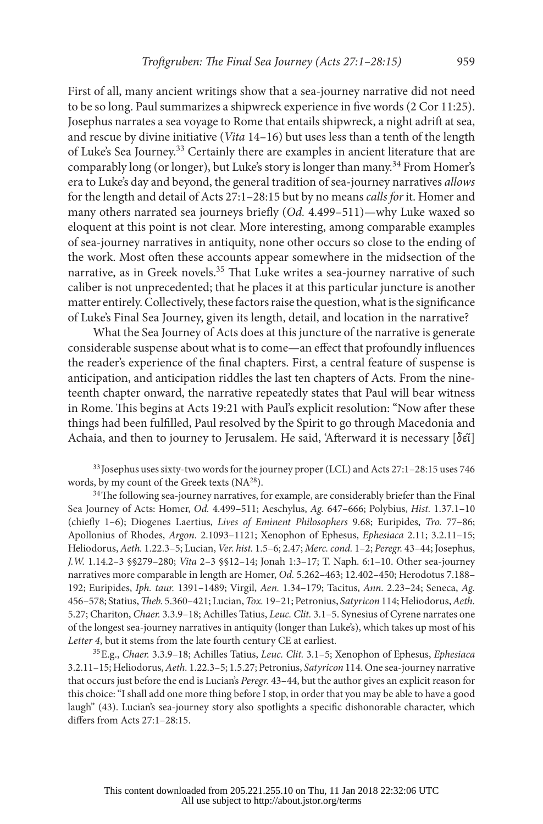First of all, many ancient writings show that a sea-journey narrative did not need to be so long. Paul summarizes a shipwreck experience in five words (2 Cor 11:25). Josephus narrates a sea voyage to Rome that entails shipwreck, a night adrift at sea, and rescue by divine initiative (*Vita* 14–16) but uses less than a tenth of the length of Luke's Sea Journey.33 Certainly there are examples in ancient literature that are comparably long (or longer), but Luke's story is longer than many.34 From Homer's era to Luke's day and beyond, the general tradition of sea-journey narratives *allows* for the length and detail of Acts 27:1–28:15 but by no means *calls for* it. Homer and many others narrated sea journeys briefly (*Od.* 4.499–511)—why Luke waxed so eloquent at this point is not clear. More interesting, among comparable examples of sea-journey narratives in antiquity, none other occurs so close to the ending of the work. Most often these accounts appear somewhere in the midsection of the narrative, as in Greek novels.<sup>35</sup> That Luke writes a sea-journey narrative of such caliber is not unprecedented; that he places it at this particular juncture is another matter entirely. Collectively, these factors raise the question, what is the significance of Luke's Final Sea Journey, given its length, detail, and location in the narrative?

What the Sea Journey of Acts does at this juncture of the narrative is generate considerable suspense about what is to come—an effect that profoundly influences the reader's experience of the final chapters. First, a central feature of suspense is anticipation, and anticipation riddles the last ten chapters of Acts. From the nineteenth chapter onward, the narrative repeatedly states that Paul will bear witness in Rome. This begins at Acts 19:21 with Paul's explicit resolution: "Now after these things had been fulfilled, Paul resolved by the Spirit to go through Macedonia and Achaia, and then to journey to Jerusalem. He said, 'Afterward it is necessary [δεῖ]

<sup>33</sup> Josephus uses sixty-two words for the journey proper (LCL) and Acts 27:1–28:15 uses 746 words, by my count of the Greek texts (NA<sup>28</sup>).

<sup>34</sup>The following sea-journey narratives, for example, are considerably briefer than the Final Sea Journey of Acts: Homer, *Od.* 4.499–511; Aeschylus, *Ag.* 647–666; Polybius, *Hist.* 1.37.1–10 (chiefly 1–6); Diogenes Laertius, *Lives of Eminent Philosophers* 9.68; Euripides, *Tro.* 77–86; Apollonius of Rhodes, *Argon.* 2.1093–1121; Xenophon of Ephesus, *Ephesiaca* 2.11; 3.2.11–15; Heliodorus, *Aeth.* 1.22.3–5; Lucian, *Ver. hist.* 1.5–6; 2.47; *Merc. cond.* 1–2; *Peregr.* 43–44; Josephus, *J.W.* 1.14.2–3 §§279–280; *Vita* 2–3 §§12–14; Jonah 1:3–17; T. Naph. 6:1–10. Other sea-journey narratives more comparable in length are Homer, *Od.* 5.262–463; 12.402–450; Herodotus 7.188– 192; Euripides, *Iph. taur.* 1391–1489; Virgil, *Aen.* 1.34–179; Tacitus, *Ann.* 2.23–24; Seneca, *Ag.*  456–578; Statius, *Theb.* 5.360–421; Lucian, *Tox.* 19–21; Petronius, *Satyricon* 114; Heliodorus, *Aeth.*  5.27; Chariton, *Chaer.* 3.3.9–18; Achilles Tatius, *Leuc. Clit.* 3.1–5. Synesius of Cyrene narrates one of the longest sea-journey narratives in antiquity (longer than Luke's), which takes up most of his *Letter 4*, but it stems from the late fourth century CE at earliest. 35E.g., *Chaer.* 3.3.9–18; Achilles Tatius, *Leuc. Clit.* 3.1–5; Xenophon of Ephesus, *Ephesiaca* 

3.2.11–15; Heliodorus, *Aeth.* 1.22.3–5; 1.5.27; Petronius, *Satyricon* 114. One sea-journey narrative that occurs just before the end is Lucian's *Peregr.* 43–44, but the author gives an explicit reason for this choice: "I shall add one more thing before I stop, in order that you may be able to have a good laugh" (43). Lucian's sea-journey story also spotlights a specific dishonorable character, which differs from Acts 27:1–28:15.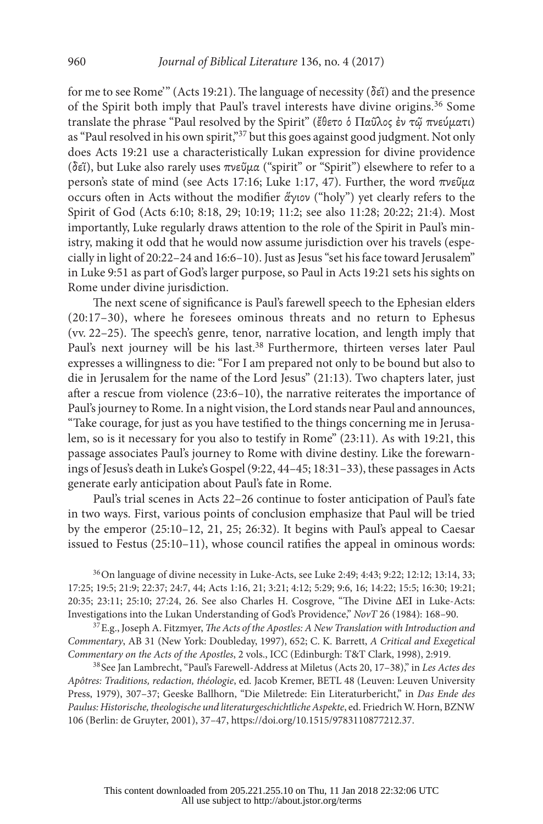for me to see Rome'" (Acts 19:21). The language of necessity (δεῖ) and the presence of the Spirit both imply that Paul's travel interests have divine origins.36 Some translate the phrase "Paul resolved by the Spirit" (ἔθετο ὁ Παῦλος ἐν τῷ πνεύματι) as "Paul resolved in his own spirit,"<sup>37</sup> but this goes against good judgment. Not only does Acts 19:21 use a characteristically Lukan expression for divine providence (δεῖ), but Luke also rarely uses πνεῦμα ("spirit" or "Spirit") elsewhere to refer to a person's state of mind (see Acts 17:16; Luke 1:17, 47). Further, the word πνεῦμα occurs often in Acts without the modifier ἅγιον ("holy") yet clearly refers to the Spirit of God (Acts 6:10; 8:18, 29; 10:19; 11:2; see also 11:28; 20:22; 21:4). Most importantly, Luke regularly draws attention to the role of the Spirit in Paul's ministry, making it odd that he would now assume jurisdiction over his travels (especially in light of 20:22–24 and 16:6–10). Just as Jesus "set his face toward Jerusalem" in Luke 9:51 as part of God's larger purpose, so Paul in Acts 19:21 sets his sights on Rome under divine jurisdiction.

The next scene of significance is Paul's farewell speech to the Ephesian elders (20:17–30), where he foresees ominous threats and no return to Ephesus (vv. 22–25). The speech's genre, tenor, narrative location, and length imply that Paul's next journey will be his last.<sup>38</sup> Furthermore, thirteen verses later Paul expresses a willingness to die: "For I am prepared not only to be bound but also to die in Jerusalem for the name of the Lord Jesus" (21:13). Two chapters later, just after a rescue from violence (23:6–10), the narrative reiterates the importance of Paul's journey to Rome. In a night vision, the Lord stands near Paul and announces, "Take courage, for just as you have testified to the things concerning me in Jerusalem, so is it necessary for you also to testify in Rome" (23:11). As with 19:21, this passage associates Paul's journey to Rome with divine destiny. Like the forewarnings of Jesus's death in Luke's Gospel (9:22, 44–45; 18:31–33), these passages in Acts generate early anticipation about Paul's fate in Rome.

Paul's trial scenes in Acts 22–26 continue to foster anticipation of Paul's fate in two ways. First, various points of conclusion emphasize that Paul will be tried by the emperor (25:10–12, 21, 25; 26:32). It begins with Paul's appeal to Caesar issued to Festus (25:10–11), whose council ratifies the appeal in ominous words:

36On language of divine necessity in Luke-Acts, see Luke 2:49; 4:43; 9:22; 12:12; 13:14, 33; 17:25; 19:5; 21:9; 22:37; 24:7, 44; Acts 1:16, 21; 3:21; 4:12; 5:29; 9:6, 16; 14:22; 15:5; 16:30; 19:21; 20:35; 23:11; 25:10; 27:24, 26. See also Charles H. Cosgrove, "The Divine ΔΕΙ in Luke-Acts: Investigations into the Lukan Understanding of God's Providence," *NovT* 26 (1984): 168–90. 37E.g., Joseph A. Fitzmyer, *The Acts of the Apostles: A New Translation with Introduction and* 

*Commentary*, AB 31 (New York: Doubleday, 1997), 652; C. K. Barrett, *A Critical and Exegetical Commentary on the Acts of the Apostles*, 2 vols., ICC (Edinburgh: T&T Clark, 1998), 2:919.

<sup>38</sup> See Jan Lambrecht, "Paul's Farewell-Address at Miletus (Acts 20, 17–38)," in *Les Actes des Apôtres: Traditions, redaction, théologie*, ed. Jacob Kremer, BETL 48 (Leuven: Leuven University Press, 1979), 307–37; Geeske Ballhorn, "Die Miletrede: Ein Literaturbericht," in *Das Ende des Paulus: Historische, theologische und literaturgeschichtliche Aspekte*, ed. Friedrich W. Horn, BZNW 106 (Berlin: de Gruyter, 2001), 37–47, [https://doi.org/10.1515/9783110877212.37.](https://doi.org/10.1515/9783110877212.37)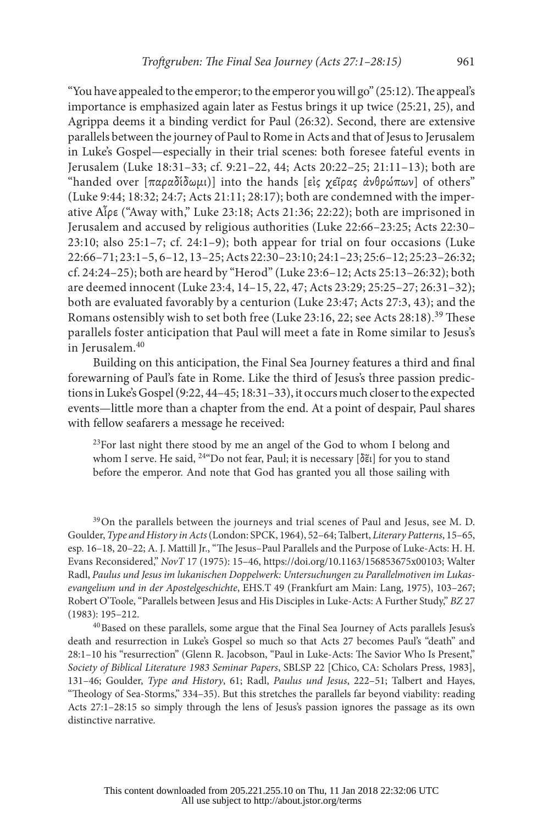"You have appealed to the emperor; to the emperor you will go" (25:12). The appeal's importance is emphasized again later as Festus brings it up twice (25:21, 25), and Agrippa deems it a binding verdict for Paul (26:32). Second, there are extensive parallels between the journey of Paul to Rome in Acts and that of Jesus to Jerusalem in Luke's Gospel—especially in their trial scenes: both foresee fateful events in Jerusalem (Luke 18:31–33; cf. 9:21–22, 44; Acts 20:22–25; 21:11–13); both are "handed over  $[\pi \alpha \rho \alpha \delta(\delta \omega \mu\mu)]$  into the hands [εἰς χεῖρας ἀνθρώπων] of others" (Luke 9:44; 18:32; 24:7; Acts 21:11; 28:17); both are condemned with the imperative Αἶρε ("Away with," Luke 23:18; Acts 21:36; 22:22); both are imprisoned in Jerusalem and accused by religious authorities (Luke 22:66–23:25; Acts 22:30–  $23:10$ ; also  $25:1-7$ ; cf.  $24:1-9$ ); both appear for trial on four occasions (Luke 22:66–71; 23:1–5, 6–12, 13–25; Acts 22:30–23:10; 24:1–23; 25:6–12; 25:23–26:32; cf. 24:24–25); both are heard by "Herod" (Luke 23:6–12; Acts 25:13–26:32); both are deemed innocent (Luke 23:4, 14–15, 22, 47; Acts 23:29; 25:25–27; 26:31–32); both are evaluated favorably by a centurion (Luke 23:47; Acts 27:3, 43); and the Romans ostensibly wish to set both free (Luke 23:16, 22; see Acts 28:18).<sup>39</sup> These parallels foster anticipation that Paul will meet a fate in Rome similar to Jesus's in Jerusalem.<sup>40</sup>

Building on this anticipation, the Final Sea Journey features a third and final forewarning of Paul's fate in Rome. Like the third of Jesus's three passion predictions in Luke's Gospel (9:22, 44–45; 18:31–33), it occurs much closer to the expected events—little more than a chapter from the end. At a point of despair, Paul shares with fellow seafarers a message he received:

<sup>23</sup>For last night there stood by me an angel of the God to whom I belong and whom I serve. He said, <sup>24</sup> Do not fear, Paul; it is necessary [δε̃ι] for you to stand before the emperor. And note that God has granted you all those sailing with

<sup>39</sup>On the parallels between the journeys and trial scenes of Paul and Jesus, see M. D. Goulder, *Type and History in Acts* (London: SPCK, 1964), 52–64; Talbert, *Literary Patterns*, 15–65, esp. 16–18, 20–22; A. J. Mattill Jr., "The Jesus–Paul Parallels and the Purpose of Luke-Acts: H. H. Evans Reconsidered," *NovT* 17 (1975): 15–46, [https://doi.org/10.1163/156853675x00103;](https://doi.org/10.1163/156853675x00103) Walter Radl, *Paulus und Jesus im lukanischen Doppelwerk: Untersuchungen zu Parallelmotiven im Lukasevangelium und in der Apostelgeschichte*, EHS.T 49 (Frankfurt am Main: Lang, 1975), 103–267; Robert O'Toole, "Parallels between Jesus and His Disciples in Luke-Acts: A Further Study," *BZ* 27 (1983): 195–212.

<sup>40</sup>Based on these parallels, some argue that the Final Sea Journey of Acts parallels Jesus's death and resurrection in Luke's Gospel so much so that Acts 27 becomes Paul's "death" and 28:1–10 his "resurrection" (Glenn R. Jacobson, "Paul in Luke-Acts: The Savior Who Is Present," *Society of Biblical Literature 1983 Seminar Papers*, SBLSP 22 [Chico, CA: Scholars Press, 1983], 131–46; Goulder, *Type and History*, 61; Radl, *Paulus und Jesus*, 222–51; Talbert and Hayes, "Theology of Sea-Storms," 334–35). But this stretches the parallels far beyond viability: reading Acts 27:1–28:15 so simply through the lens of Jesus's passion ignores the passage as its own distinctive narrative.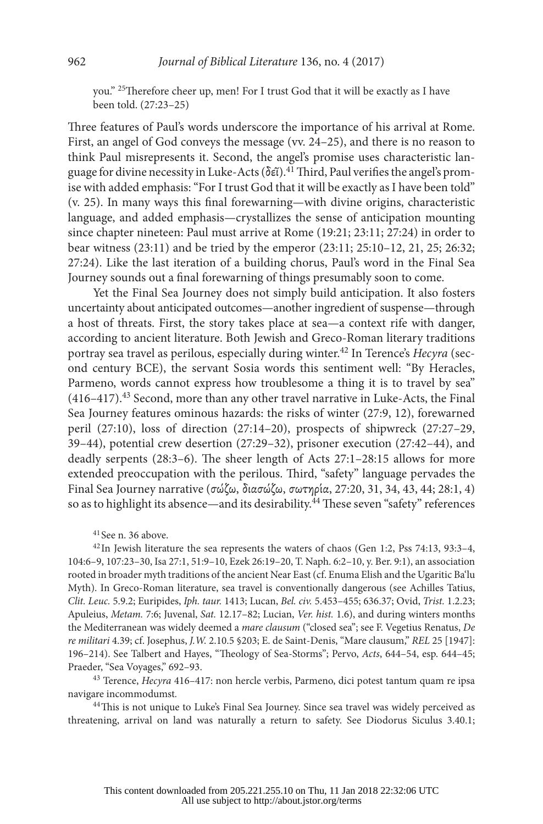you." 25Therefore cheer up, men! For I trust God that it will be exactly as I have been told. (27:23–25)

Three features of Paul's words underscore the importance of his arrival at Rome. First, an angel of God conveys the message (vv. 24–25), and there is no reason to think Paul misrepresents it. Second, the angel's promise uses characteristic language for divine necessity in Luke-Acts (δεῖ).41 Third, Paul verifies the angel's promise with added emphasis: "For I trust God that it will be exactly as I have been told" (v. 25). In many ways this final forewarning—with divine origins, characteristic language, and added emphasis—crystallizes the sense of anticipation mounting since chapter nineteen: Paul must arrive at Rome (19:21; 23:11; 27:24) in order to bear witness (23:11) and be tried by the emperor (23:11; 25:10–12, 21, 25; 26:32; 27:24). Like the last iteration of a building chorus, Paul's word in the Final Sea Journey sounds out a final forewarning of things presumably soon to come.

Yet the Final Sea Journey does not simply build anticipation. It also fosters uncertainty about anticipated outcomes—another ingredient of suspense—through a host of threats. First, the story takes place at sea—a context rife with danger, according to ancient literature. Both Jewish and Greco-Roman literary traditions portray sea travel as perilous, especially during winter.42 In Terence's *Hecyra* (second century BCE), the servant Sosia words this sentiment well: "By Heracles, Parmeno, words cannot express how troublesome a thing it is to travel by sea"  $(416-417).<sup>43</sup>$  Second, more than any other travel narrative in Luke-Acts, the Final Sea Journey features ominous hazards: the risks of winter (27:9, 12), forewarned peril (27:10), loss of direction (27:14–20), prospects of shipwreck (27:27–29, 39–44), potential crew desertion (27:29–32), prisoner execution (27:42–44), and deadly serpents (28:3–6). The sheer length of Acts 27:1–28:15 allows for more extended preoccupation with the perilous. Third, "safety" language pervades the Final Sea Journey narrative (σώζω, διασώζω, σωτηρία, 27:20, 31, 34, 43, 44; 28:1, 4) so as to highlight its absence—and its desirability.<sup>44</sup> These seven "safety" references

<sup>41</sup> See n. 36 above.

 $42$  In Jewish literature the sea represents the waters of chaos (Gen 1:2, Pss 74:13, 93:3-4, 104:6–9, 107:23–30, Isa 27:1, 51:9–10, Ezek 26:19–20, T. Naph. 6:2–10, y. Ber. 9:1), an association rooted in broader myth traditions of the ancient Near East (cf. Enuma Elish and the Ugaritic Ba'lu Myth). In Greco-Roman literature, sea travel is conventionally dangerous (see Achilles Tatius, *Clit. Leuc.* 5.9.2; Euripides, *Iph. taur.* 1413; Lucan, *Bel. civ.* 5.453–455; 636.37; Ovid, *Trist.* 1.2.23; Apuleius, *Metam.* 7:6; Juvenal, *Sat.* 12.17–82; Lucian, *Ver. hist.* 1.6), and during winters months the Mediterranean was widely deemed a *mare clausum* ("closed sea"; see F. Vegetius Renatus, *De re militari* 4.39; cf. Josephus, *J.W.* 2.10.5 §203; E. de Saint-Denis, "Mare clausum," *REL* 25 [1947]: 196–214). See Talbert and Hayes, "Theology of Sea-Storms"; Pervo, *Acts*, 644–54, esp. 644–45; Praeder, "Sea Voyages," 692–93. 43 Terence, *Hecyra* 416–417: non hercle verbis, Parmeno, dici potest tantum quam re ipsa

navigare incommodumst*.* 

<sup>44</sup>This is not unique to Luke's Final Sea Journey. Since sea travel was widely perceived as threatening, arrival on land was naturally a return to safety. See Diodorus Siculus 3.40.1;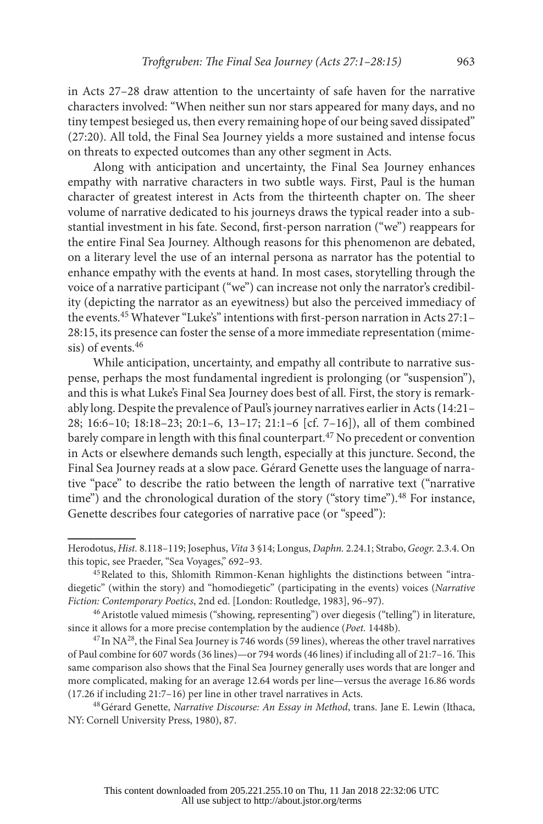in Acts 27–28 draw attention to the uncertainty of safe haven for the narrative characters involved: "When neither sun nor stars appeared for many days, and no tiny tempest besieged us, then every remaining hope of our being saved dissipated" (27:20). All told, the Final Sea Journey yields a more sustained and intense focus on threats to expected outcomes than any other segment in Acts.

Along with anticipation and uncertainty, the Final Sea Journey enhances empathy with narrative characters in two subtle ways. First, Paul is the human character of greatest interest in Acts from the thirteenth chapter on. The sheer volume of narrative dedicated to his journeys draws the typical reader into a substantial investment in his fate. Second, first-person narration ("we") reappears for the entire Final Sea Journey. Although reasons for this phenomenon are debated, on a literary level the use of an internal persona as narrator has the potential to enhance empathy with the events at hand. In most cases, storytelling through the voice of a narrative participant ("we") can increase not only the narrator's credibility (depicting the narrator as an eyewitness) but also the perceived immediacy of the events.45 Whatever "Luke's" intentions with first-person narration in Acts 27:1– 28:15, its presence can foster the sense of a more immediate representation (mimesis) of events.46

While anticipation, uncertainty, and empathy all contribute to narrative suspense, perhaps the most fundamental ingredient is prolonging (or "suspension"), and this is what Luke's Final Sea Journey does best of all. First, the story is remarkably long. Despite the prevalence of Paul's journey narratives earlier in Acts (14:21– 28; 16:6–10; 18:18–23; 20:1–6, 13–17; 21:1–6 [cf. 7–16]), all of them combined barely compare in length with this final counterpart.<sup>47</sup> No precedent or convention in Acts or elsewhere demands such length, especially at this juncture. Second, the Final Sea Journey reads at a slow pace. Gérard Genette uses the language of narrative "pace" to describe the ratio between the length of narrative text ("narrative time") and the chronological duration of the story ("story time"). $48$  For instance, Genette describes four categories of narrative pace (or "speed"):

Herodotus, *Hist.* 8.118–119; Josephus, *Vita* 3 §14; Longus, *Daphn.* 2.24.1; Strabo, *Geogr.* 2.3.4. On this topic, see Praeder, "Sea Voyages," 692–93.

<sup>45</sup>Related to this, Shlomith Rimmon-Kenan highlights the distinctions between "intradiegetic" (within the story) and "homodiegetic" (participating in the events) voices (*Narrative* 

<sup>&</sup>lt;sup>46</sup> Aristotle valued mimesis ("showing, representing") over diegesis ("telling") in literature, since it allows for a more precise contemplation by the audience (*Poet.* 1448b).

 $47$  In NA $28$ , the Final Sea Journey is 746 words (59 lines), whereas the other travel narratives of Paul combine for 607 words (36 lines)—or 794 words (46 lines) if including all of 21:7–16. This same comparison also shows that the Final Sea Journey generally uses words that are longer and more complicated, making for an average 12.64 words per line—versus the average 16.86 words (17.26 if including 21:7–16) per line in other travel narratives in Acts.

<sup>48</sup>Gérard Genette, *Narrative Discourse: An Essay in Method*, trans. Jane E. Lewin (Ithaca, NY: Cornell University Press, 1980), 87.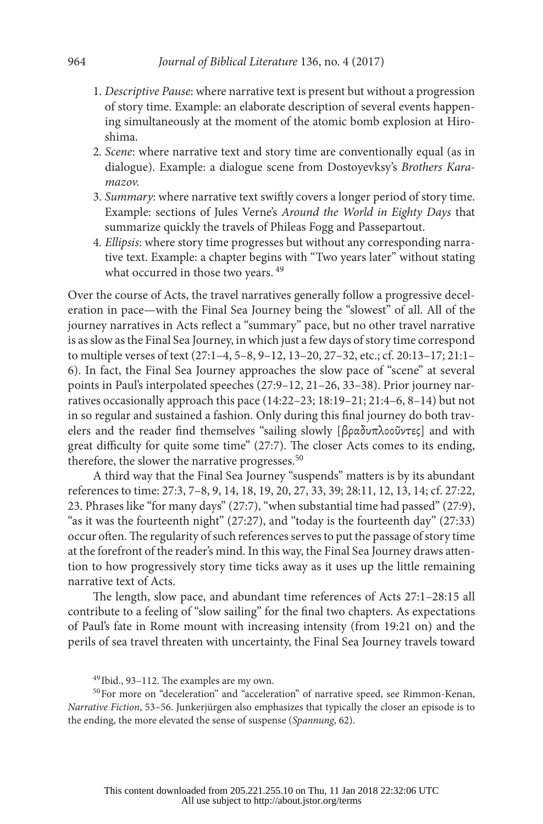- 1. *Descriptive Pause*: where narrative text is present but without a progression of story time. Example: an elaborate description of several events happening simultaneously at the moment of the atomic bomb explosion at Hiroshima.
- 2*. Scene*: where narrative text and story time are conventionally equal (as in dialogue). Example: a dialogue scene from Dostoyevksy's *Brothers Karamazov.*
- 3. *Summary*: where narrative text swiftly covers a longer period of story time. Example: sections of Jules Verne's *Around the World in Eighty Days* that summarize quickly the travels of Phileas Fogg and Passepartout.
- 4*. Ellipsis*: where story time progresses but without any corresponding narrative text. Example: a chapter begins with "Two years later" without stating what occurred in those two years. <sup>49</sup>

Over the course of Acts, the travel narratives generally follow a progressive deceleration in pace—with the Final Sea Journey being the "slowest" of all. All of the journey narratives in Acts reflect a "summary" pace, but no other travel narrative is as slow as the Final Sea Journey, in which just a few days of story time correspond to multiple verses of text (27:1–4, 5–8, 9–12, 13–20, 27–32, etc.; cf. 20:13–17; 21:1– 6). In fact, the Final Sea Journey approaches the slow pace of "scene" at several points in Paul's interpolated speeches (27:9–12, 21–26, 33–38). Prior journey narratives occasionally approach this pace (14:22–23; 18:19–21; 21:4–6, 8–14) but not in so regular and sustained a fashion. Only during this final journey do both travelers and the reader find themselves "sailing slowly [βραδυπλοοῦντες] and with great difficulty for quite some time" (27:7). The closer Acts comes to its ending, therefore, the slower the narrative progresses.<sup>50</sup>

A third way that the Final Sea Journey "suspends" matters is by its abundant references to time: 27:3, 7–8, 9, 14, 18, 19, 20, 27, 33, 39; 28:11, 12, 13, 14; cf. 27:22, 23. Phrases like "for many days" (27:7), "when substantial time had passed" (27:9), "as it was the fourteenth night" (27:27), and "today is the fourteenth day" (27:33) occur often. The regularity of such references serves to put the passage of story time at the forefront of the reader's mind. In this way, the Final Sea Journey draws attention to how progressively story time ticks away as it uses up the little remaining narrative text of Acts.

The length, slow pace, and abundant time references of Acts 27:1–28:15 all contribute to a feeling of "slow sailing" for the final two chapters. As expectations of Paul's fate in Rome mount with increasing intensity (from 19:21 on) and the perils of sea travel threaten with uncertainty, the Final Sea Journey travels toward

<sup>49</sup> Ibid., 93–112. The examples are my own.

<sup>50</sup>For more on "deceleration" and "acceleration" of narrative speed, see Rimmon-Kenan, *Narrative Fiction*, 53–56. Junkerjürgen also emphasizes that typically the closer an episode is to the ending, the more elevated the sense of suspense (*Spannung*, 62).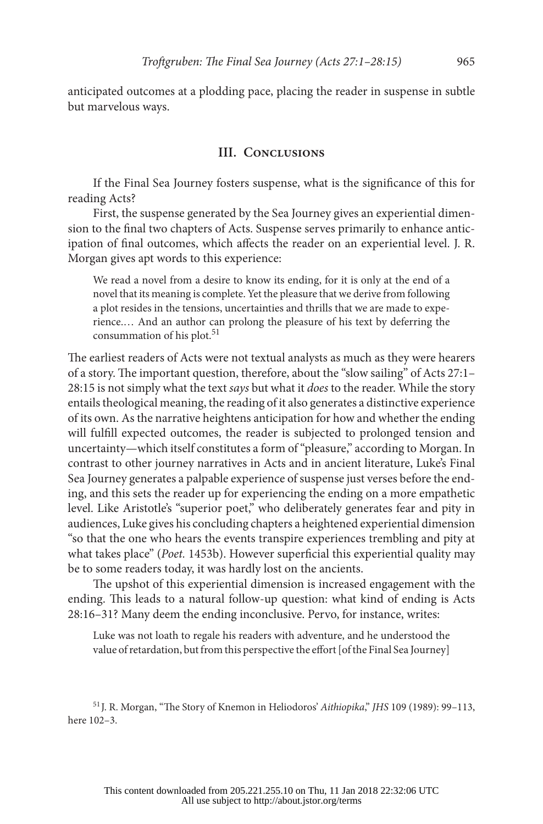anticipated outcomes at a plodding pace, placing the reader in suspense in subtle but marvelous ways.

#### **III. Conclusions**

If the Final Sea Journey fosters suspense, what is the significance of this for reading Acts?

First, the suspense generated by the Sea Journey gives an experiential dimension to the final two chapters of Acts. Suspense serves primarily to enhance anticipation of final outcomes, which affects the reader on an experiential level. J. R. Morgan gives apt words to this experience:

We read a novel from a desire to know its ending, for it is only at the end of a novel that its meaning is complete. Yet the pleasure that we derive from following a plot resides in the tensions, uncertainties and thrills that we are made to experience.… And an author can prolong the pleasure of his text by deferring the consummation of his plot.<sup>51</sup>

The earliest readers of Acts were not textual analysts as much as they were hearers of a story. The important question, therefore, about the "slow sailing" of Acts 27:1– 28:15 is not simply what the text *says* but what it *does* to the reader. While the story entails theological meaning, the reading of it also generates a distinctive experience of its own. As the narrative heightens anticipation for how and whether the ending will fulfill expected outcomes, the reader is subjected to prolonged tension and uncertainty—which itself constitutes a form of "pleasure," according to Morgan. In contrast to other journey narratives in Acts and in ancient literature, Luke's Final Sea Journey generates a palpable experience of suspense just verses before the ending, and this sets the reader up for experiencing the ending on a more empathetic level. Like Aristotle's "superior poet," who deliberately generates fear and pity in audiences, Luke gives his concluding chapters a heightened experiential dimension "so that the one who hears the events transpire experiences trembling and pity at what takes place" (*Poet.* 1453b). However superficial this experiential quality may be to some readers today, it was hardly lost on the ancients.

The upshot of this experiential dimension is increased engagement with the ending. This leads to a natural follow-up question: what kind of ending is Acts 28:16–31? Many deem the ending inconclusive. Pervo, for instance, writes:

Luke was not loath to regale his readers with adventure, and he understood the value of retardation, but from this perspective the effort [of the Final Sea Journey]

<sup>51</sup> J. R. Morgan, "The Story of Knemon in Heliodoros' *Aithiopika*," *JHS* 109 (1989): 99–113, here 102–3.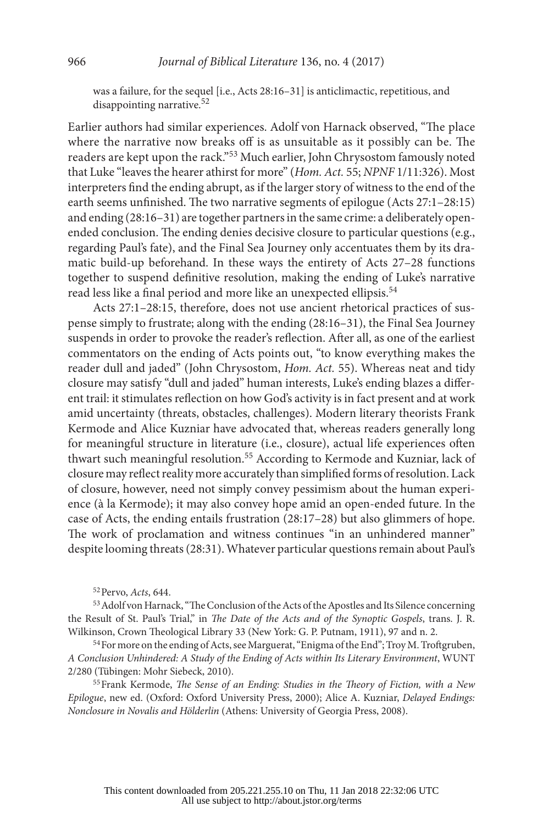was a failure, for the sequel [i.e., Acts 28:16–31] is anticlimactic, repetitious, and disappointing narrative.52

Earlier authors had similar experiences. Adolf von Harnack observed, "The place where the narrative now breaks off is as unsuitable as it possibly can be. The readers are kept upon the rack."53 Much earlier, John Chrysostom famously noted that Luke "leaves the hearer athirst for more" (*Hom. Act.* 55; *NPNF* 1/11:326). Most interpreters find the ending abrupt, as if the larger story of witness to the end of the earth seems unfinished. The two narrative segments of epilogue (Acts 27:1–28:15) and ending (28:16–31) are together partners in the same crime: a deliberately openended conclusion. The ending denies decisive closure to particular questions (e.g., regarding Paul's fate), and the Final Sea Journey only accentuates them by its dramatic build-up beforehand. In these ways the entirety of Acts 27–28 functions together to suspend definitive resolution, making the ending of Luke's narrative read less like a final period and more like an unexpected ellipsis.<sup>54</sup>

Acts 27:1–28:15, therefore, does not use ancient rhetorical practices of suspense simply to frustrate; along with the ending (28:16–31), the Final Sea Journey suspends in order to provoke the reader's reflection. After all, as one of the earliest commentators on the ending of Acts points out, "to know everything makes the reader dull and jaded" (John Chrysostom, *Hom. Act.* 55). Whereas neat and tidy closure may satisfy "dull and jaded" human interests, Luke's ending blazes a different trail: it stimulates reflection on how God's activity is in fact present and at work amid uncertainty (threats, obstacles, challenges). Modern literary theorists Frank Kermode and Alice Kuzniar have advocated that, whereas readers generally long for meaningful structure in literature (i.e., closure), actual life experiences often thwart such meaningful resolution.<sup>55</sup> According to Kermode and Kuzniar, lack of closure may reflect reality more accurately than simplified forms of resolution. Lack of closure, however, need not simply convey pessimism about the human experience (à la Kermode); it may also convey hope amid an open-ended future. In the case of Acts, the ending entails frustration (28:17–28) but also glimmers of hope. The work of proclamation and witness continues "in an unhindered manner" despite looming threats (28:31). Whatever particular questions remain about Paul's

52Pervo, *Acts*, 644.

53Adolf von Harnack, "The Conclusion of the Acts of the Apostles and Its Silence concerning the Result of St. Paul's Trial," in *The Date of the Acts and of the Synoptic Gospels*, trans. J. R. Wilkinson, Crown Theological Library 33 (New York: G. P. Putnam, 1911), 97 and n. 2.<br><sup>54</sup>For more on the ending of Acts, see Marguerat, "Enigma of the End"; Troy M. Troftgruben,

*A Conclusion Unhindered: A Study of the Ending of Acts within Its Literary Environment*, WUNT 2/280 (Tübingen: Mohr Siebeck, 2010).

55Frank Kermode, *The Sense of an Ending: Studies in the Theory of Fiction, with a New Epilogue*, new ed. (Oxford: Oxford University Press, 2000); Alice A. Kuzniar, *Delayed Endings: Nonclosure in Novalis and Hölderlin* (Athens: University of Georgia Press, 2008).

This content downloaded from 205.221.255.10 on Thu, 11 Jan 2018 22:32:06 UTC All use subject to http://about.jstor.org/terms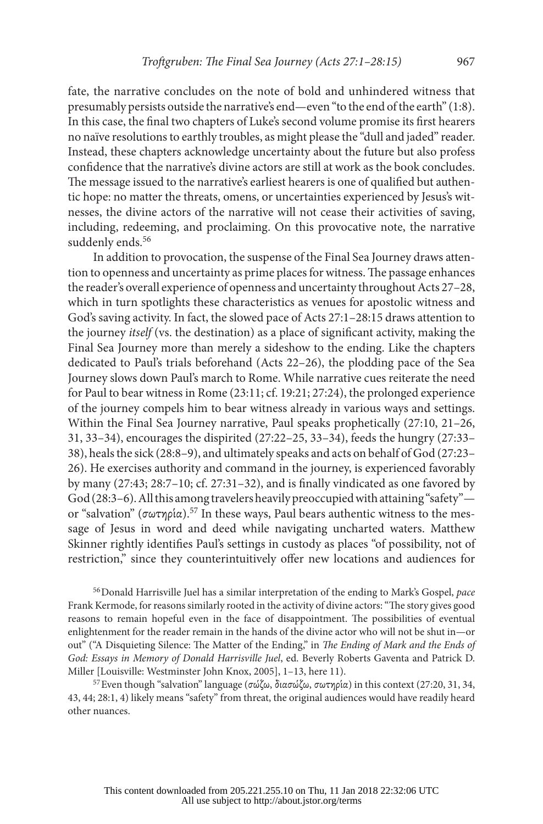fate, the narrative concludes on the note of bold and unhindered witness that presumably persists outside the narrative's end—even "to the end of the earth" (1:8). In this case, the final two chapters of Luke's second volume promise its first hearers no naïve resolutions to earthly troubles, as might please the "dull and jaded" reader. Instead, these chapters acknowledge uncertainty about the future but also profess confidence that the narrative's divine actors are still at work as the book concludes. The message issued to the narrative's earliest hearers is one of qualified but authentic hope: no matter the threats, omens, or uncertainties experienced by Jesus's witnesses, the divine actors of the narrative will not cease their activities of saving, including, redeeming, and proclaiming. On this provocative note, the narrative suddenly ends.<sup>56</sup>

In addition to provocation, the suspense of the Final Sea Journey draws attention to openness and uncertainty as prime places for witness. The passage enhances the reader's overall experience of openness and uncertainty throughout Acts 27–28, which in turn spotlights these characteristics as venues for apostolic witness and God's saving activity. In fact, the slowed pace of Acts 27:1–28:15 draws attention to the journey *itself* (vs. the destination) as a place of significant activity, making the Final Sea Journey more than merely a sideshow to the ending. Like the chapters dedicated to Paul's trials beforehand (Acts 22–26), the plodding pace of the Sea Journey slows down Paul's march to Rome. While narrative cues reiterate the need for Paul to bear witness in Rome (23:11; cf. 19:21; 27:24), the prolonged experience of the journey compels him to bear witness already in various ways and settings. Within the Final Sea Journey narrative, Paul speaks prophetically (27:10, 21–26, 31, 33–34), encourages the dispirited (27:22–25, 33–34), feeds the hungry (27:33– 38), heals the sick (28:8–9), and ultimately speaks and acts on behalf of God (27:23– 26). He exercises authority and command in the journey, is experienced favorably by many (27:43; 28:7–10; cf. 27:31–32), and is finally vindicated as one favored by God (28:3–6). All this among travelers heavily preoccupied with attaining "safety" or "salvation" (σωτηρία).<sup>57</sup> In these ways, Paul bears authentic witness to the message of Jesus in word and deed while navigating uncharted waters. Matthew Skinner rightly identifies Paul's settings in custody as places "of possibility, not of restriction," since they counterintuitively offer new locations and audiences for

56Donald Harrisville Juel has a similar interpretation of the ending to Mark's Gospel, *pace* Frank Kermode, for reasons similarly rooted in the activity of divine actors: "The story gives good reasons to remain hopeful even in the face of disappointment. The possibilities of eventual enlightenment for the reader remain in the hands of the divine actor who will not be shut in—or out" ("A Disquieting Silence: The Matter of the Ending," in *The Ending of Mark and the Ends of God: Essays in Memory of Donald Harrisville Juel*, ed. Beverly Roberts Gaventa and Patrick D. Miller [Louisville: Westminster John Knox, 2005], 1–13, here 11).

57Even though "salvation" language (σώζω, διασώζω, σωτηρία) in this context (27:20, 31, 34, 43, 44; 28:1, 4) likely means "safety" from threat, the original audiences would have readily heard other nuances.